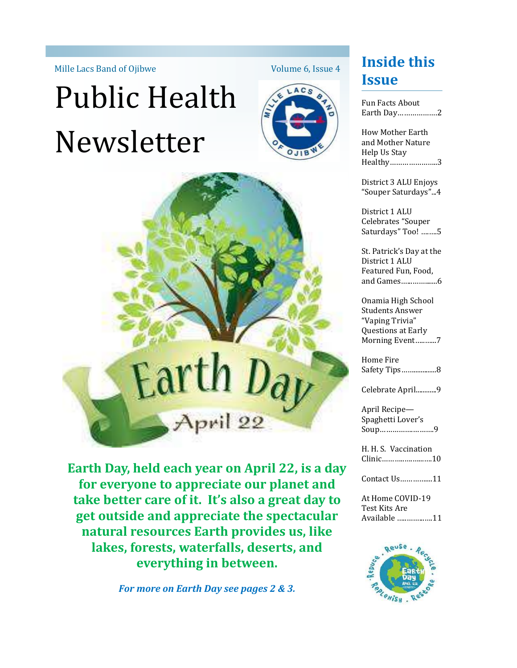# Public Health Newsletter



Volume 6, Issue 4



**Earth Day, held each year on April 22, is a day for everyone to appreciate our planet and take better care of it. It's also a great day to get outside and appreciate the spectacular natural resources Earth provides us, like lakes, forests, waterfalls, deserts, and everything in between.**

*For more on Earth Day see pages 2 & 3.*

# Mille Lacs Band of Ojibwe **Inside this** Volume 6, Issue 4 **Issue**

Fun Facts About Earth Day……………….2

How Mother Earth and Mother Nature Help Us Stay Healthy…………………..3

District 3 ALU Enjoys "Souper Saturdays"...4

District 1 ALU Celebrates "Souper Saturdays" Too! ….….5

St. Patrick's Day at the District 1 ALU Featured Fun, Food, and Games…...…….......6

Onamia High School Students Answer "Vaping Trivia" Questions at Early Morning Event…..…...7

Home Fire Safety Tips…….............8

Celebrate April............9

April Recipe— Spaghetti Lover's Soup…………….……….9

H. H. S. Vaccination Clinic………..….…...….10

Contact Us…………....11

At Home COVID-19 Test Kits Are Available …..……...….11

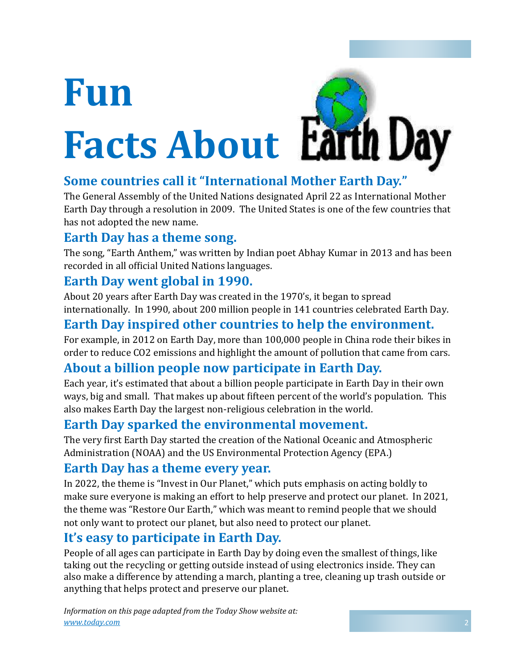# **Fun Facts About**



# **Some countries call it "International Mother Earth Day."**

The General Assembly of the United Nations designated April 22 as International Mother Earth Day through a resolution in 2009. The United States is one of the few countries that has not adopted the new name.

### **Earth Day has a theme song.**

The song, "Earth Anthem," was written by Indian poet Abhay Kumar in 2013 and has been recorded in all official United Nations languages.

### **Earth Day went global in 1990.**

About 20 years after Earth Day was created in the 1970's, it began to spread internationally. In 1990, about 200 million people in 141 countries celebrated Earth Day.

## **Earth Day inspired other countries to help the environment.**

For example, in 2012 on Earth Day, more than 100,000 people in China rode their bikes in order to reduce CO2 emissions and highlight the amount of pollution that came from cars.

## **About a billion people now participate in Earth Day.**

Each year, it's estimated that about a billion people participate in Earth Day in their own ways, big and small. That makes up about fifteen percent of the world's population. This also makes Earth Day the largest non-religious celebration in the world.

## **Earth Day sparked the environmental movement.**

The very first Earth Day started the creation of the National Oceanic and Atmospheric Administration (NOAA) and the US Environmental Protection Agency (EPA.)

### **Earth Day has a theme every year.**

In 2022, the theme is "Invest in Our Planet," which puts emphasis on acting boldly to make sure everyone is making an effort to help preserve and protect our planet. In 2021, the theme was "Restore Our Earth," which was meant to remind people that we should not only want to protect our planet, but also need to protect our planet.

## **It's easy to participate in Earth Day.**

People of all ages can participate in Earth Day by doing even the smallest of things, like taking out the recycling or getting outside instead of using electronics inside. They can also make a difference by attending a march, planting a tree, cleaning up trash outside or anything that helps protect and preserve our planet.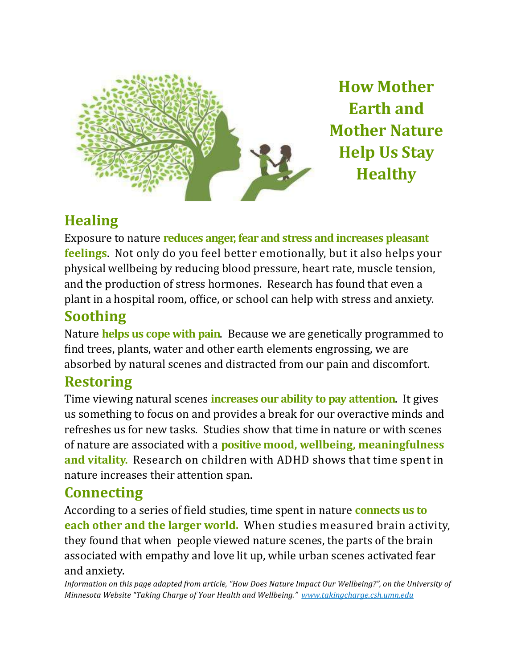

**How Mother Earth and Mother Nature Help Us Stay Healthy**

# **Healing**

Exposure to nature **reduces anger, fear and stress and increases pleasant feelings**. Not only do you feel better emotionally, but it also helps your physical wellbeing by reducing blood pressure, heart rate, muscle tension, and the production of stress hormones. Research has found that even a plant in a hospital room, office, or school can help with stress and anxiety.

# **Soothing**

Nature **helps us cope with pain**. Because we are genetically programmed to find trees, plants, water and other earth elements engrossing, we are absorbed by natural scenes and distracted from our pain and discomfort.

# **Restoring**

Time viewing natural scenes **increases our ability to pay attention**. It gives us something to focus on and provides a break for our overactive minds and refreshes us for new tasks. Studies show that time in nature or with scenes of nature are associated with a **positive mood, wellbeing, meaningfulness and vitality.** Research on children with ADHD shows that time spent in nature increases their attention span.

# **Connecting**

According to a series of field studies, time spent in nature **connects us to each other and the larger world.** When studies measured brain activity, they found that when people viewed nature scenes, the parts of the brain associated with empathy and love lit up, while urban scenes activated fear and anxiety.

*Information on this page adapted from article, "How Does Nature Impact Our Wellbeing?", on the University of Minnesota Website "Taking Charge of Your Health and Wellbeing." www.takingcharge.csh.umn.edu*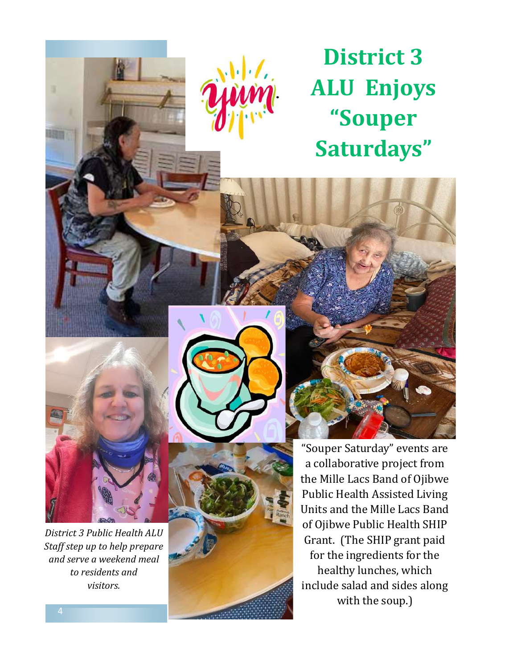

# **District 3 ALU Enjoys "Souper Saturdays"**



*District 3 Public Health ALU Staff step up to help prepare and serve a weekend meal to residents and visitors.*

"Souper Saturday" events are a collaborative project from the Mille Lacs Band of Ojibwe Public Health Assisted Living Units and the Mille Lacs Band of Ojibwe Public Health SHIP Grant. (The SHIP grant paid for the ingredients for the healthy lunches, which include salad and sides along with the soup.)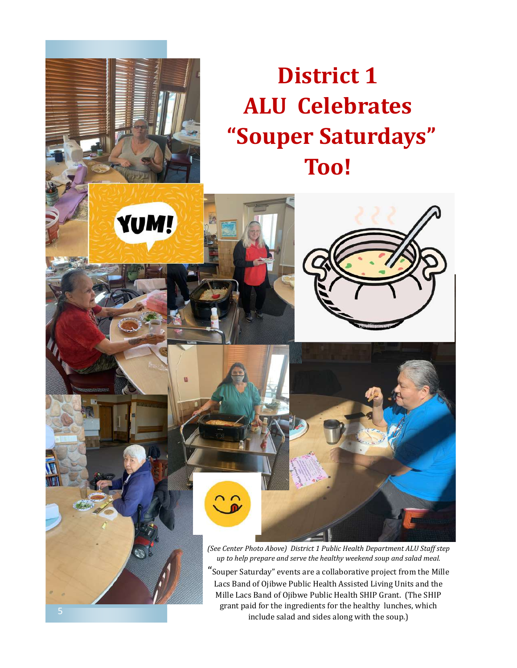# **District 1 ALU Celebrates "Souper Saturdays" Too!**



 $\widehat{\mathbb{C}}$ 

"Souper Saturday" events are a collaborative project from the Mille Lacs Band of Ojibwe Public Health Assisted Living Units and the Mille Lacs Band of Ojibwe Public Health SHIP Grant. (The SHIP grant paid for the ingredients for the healthy lunches, which include salad and sides along with the soup.)

YUM!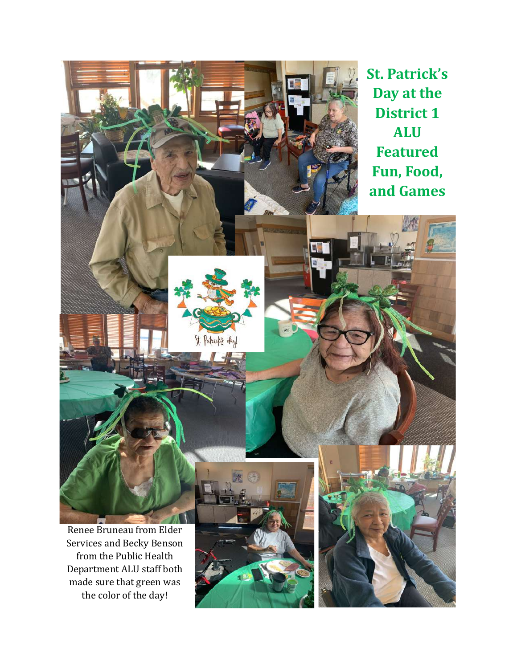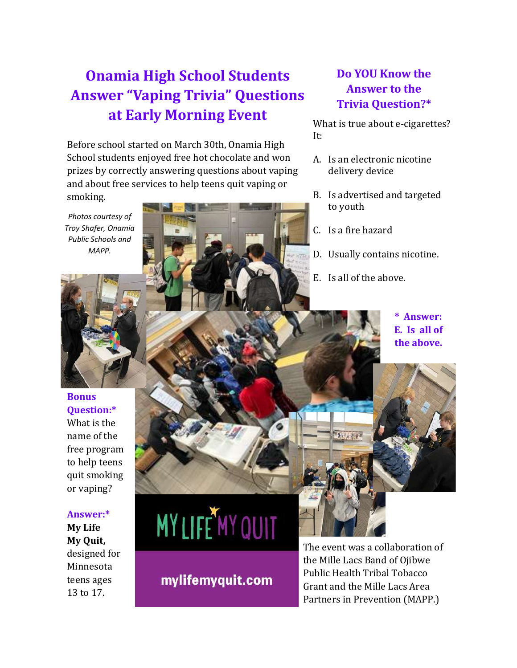# **Onamia High School Students Answer "Vaping Trivia" Questions at Early Morning Event**

Before school started on March 30th, Onamia High School students enjoyed free hot chocolate and won prizes by correctly answering questions about vaping and about free services to help teens quit vaping or smoking.

*Photos courtesy of Troy Shafer, Onamia Public Schools and MAPP.* 



### **Do YOU Know the Answer to the Trivia Question?\***

What is true about e-cigarettes? It:

- A. Is an electronic nicotine delivery device
- B. Is advertised and targeted to youth
- C. Is a fire hazard
- D. Usually contains nicotine.
- E. Is all of the above.
	- **\* Answer: E. Is all of the above.**



**Bonus Question:\*** What is the name of the free program to help teens quit smoking or vaping?

### **Answer:\***

**My Life My Quit,**  designed for Minnesota teens ages 13 to 17.

# **MY LIFE MY QUIT**

mylifemyquit.com

The event was a collaboration of the Mille Lacs Band of Ojibwe Public Health Tribal Tobacco Grant and the Mille Lacs Area Partners in Prevention (MAPP.)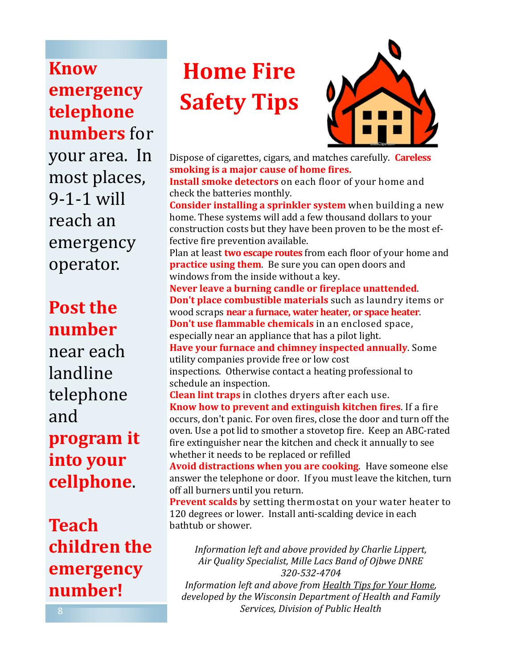**Know emergency telephone numbers** for your area. In most places, 9-1-1 will reach an emergency operator.

# **Post the number**

near each landline telephone and **program it into your cellphone**.

**Teach children the emergency number!**

# **Home Fire Safety Tips**



Dispose of cigarettes, cigars, and matches carefully. **Careless smoking is a major cause of home fires. Install smoke detectors** on each floor of your home and check the batteries monthly. **Consider installing a sprinkler system** when building a new home. These systems will add a few thousand dollars to your construction costs but they have been proven to be the most effective fire prevention available. Plan at least **two escape routes** from each floor of your home and **practice using them**. Be sure you can open doors and windows from the inside without a key. **Never leave a burning candle or fireplace unattended**. **Don't place combustible materials** such as laundry items or wood scraps **near a furnace, water heater, or space heater**. **Don't use flammable chemicals** in an enclosed space, especially near an appliance that has a pilot light. **Have your furnace and chimney inspected annually**. Some utility companies provide free or low cost inspections. Otherwise contact a heating professional to schedule an inspection. **Clean lint traps** in clothes dryers after each use. **Know how to prevent and extinguish kitchen fires**. If a fire occurs, don't panic. For oven fires, close the door and turn off the oven. Use a pot lid to smother a stovetop fire. Keep an ABC-rated fire extinguisher near the kitchen and check it annually to see whether it needs to be replaced or refilled **Avoid distractions when you are cooking**. Have someone else answer the telephone or door. If you must leave the kitchen, turn off all burners until you return. **Prevent scalds** by setting thermostat on your water heater to 120 degrees or lower. Install anti-scalding device in each bathtub or shower. *Information left and above provided by Charlie Lippert,* 

*Air Quality Specialist, Mille Lacs Band of Ojbwe DNRE 320-532-4704 Information left and above from Health Tips for Your Home,* 

*developed by the Wisconsin Department of Health and Family Services, Division of Public Health*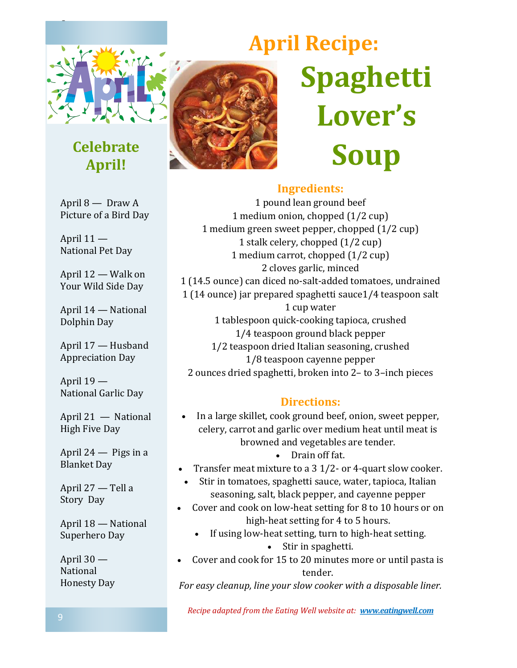

C

# **Celebrate April!**

April 8 — Draw A Picture of a Bird Day

April 11 — National Pet Day

April 12 — Walk on Your Wild Side Day

April 14 — National Dolphin Day

April 17 — Husband Appreciation Day

April 19 — National Garlic Day

April 21 — National High Five Day

April 24 — Pigs in a Blanket Day

April 27 — Tell a Story Day

April 18 — National Superhero Day

April 30 — National Honesty Day



# **April Recipe: Spaghetti Lover's Soup**

### **Ingredients:**

1 pound lean ground beef 1 medium onion, chopped (1/2 cup) 1 medium green sweet pepper, chopped (1/2 cup) 1 stalk celery, chopped (1/2 cup) 1 medium carrot, chopped (1/2 cup) 2 cloves garlic, minced 1 (14.5 ounce) can diced no-salt-added tomatoes, undrained 1 (14 ounce) jar prepared spaghetti sauce1/4 teaspoon salt 1 cup water 1 tablespoon quick-cooking tapioca, crushed 1/4 teaspoon ground black pepper 1/2 teaspoon dried Italian seasoning, crushed 1/8 teaspoon cayenne pepper 2 ounces dried spaghetti, broken into 2– to 3–inch pieces

### **Directions:**

- In a large skillet, cook ground beef, onion, sweet pepper, celery, carrot and garlic over medium heat until meat is browned and vegetables are tender.
	- Drain off fat.
- Transfer meat mixture to a 3 1/2- or 4-quart slow cooker.
- Stir in tomatoes, spaghetti sauce, water, tapioca, Italian seasoning, salt, black pepper, and cayenne pepper
- Cover and cook on low-heat setting for 8 to 10 hours or on high-heat setting for 4 to 5 hours.
	- If using low-heat setting, turn to high-heat setting.
		- Stir in spaghetti.
- Cover and cook for 15 to 20 minutes more or until pasta is tender.

*For easy cleanup, line your slow cooker with a disposable liner.*

*Recipe adapted from the Eating Well website at: www.eatingwell.com*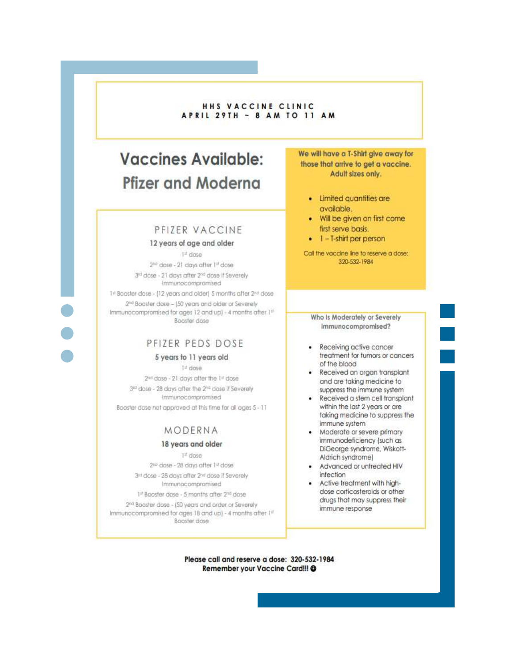### HHS VACCINE CLINIC **APRIL 29TH ~ 8 AM TO 11 AM**

# **Vaccines Available: Pfizer and Moderna**

### PFIZER VACCINE

#### 12 years of age and older

 $1<sup>th</sup>$  dose 2<sup>nd</sup> dose - 21 days after 1<sup>st</sup> dose 3rd dose - 21 days after 2nd dose if Severely Immunocompromised

1ª Baoster dose - (12 years and older) 5 months after 2nd dose 2<sup>nd</sup> Booster dose - (50 years and older or Severely Immunocompromised for ages 12 and up) - 4 months after 1st Booster dose

### PFIZER PEDS DOSE

#### 5 years to 11 years old

 $14$  dose 2<sup>nd</sup> dose - 21 days after the 1st dose 3rd dose - 28 days after the 2<sup>nd</sup> dose if Severely Immunocompromised Booster dose not approved at this time for all ages 5 - 11

### MODERNA

#### 18 years and older

 $1<sup>th</sup>$  dose 2nd dose - 28 days after 1st dose 3<sup>n</sup> dose - 28 days after 2<sup>nd</sup> dose if Severely Immunocompromised 1st Booster dase - 5 months after 2nd dose

2<sup>nd</sup> Boaster dase - (50 years and order or Severely Immunocompromised for ages 18 and up) - 4 months after 1st Booster dose

We will have a T-Shirt give away for those that arrive to get a vaccine. Adult sizes only.

- Limited quantities are available.
- . Will be given on first come first serve basis.
- $\bullet$  1 T-shirt per person

Call the vaccine line to reserve a dose: 320-532-1984

Who Is Moderately or Severely Immunocompromised?

- Receiving active cancer treatment for tumors or cancers of the blood
- Received an organ transplant and are taking medicine to suppress the immune system
- Received a stem cell transplant within the last 2 years or are taking medicine to suppress the immune system
- Moderate or severe primary immunodeficiency (such as DiGeorge syndrome, Wiskott-Aldrich syndrome)
- Advanced or untreated HIV infection
- Active treatment with highdose corticosteroids or other drugs that may suppress their immune response

Please call and reserve a dose: 320-532-1984 Remember your Vaccine Card!!! @